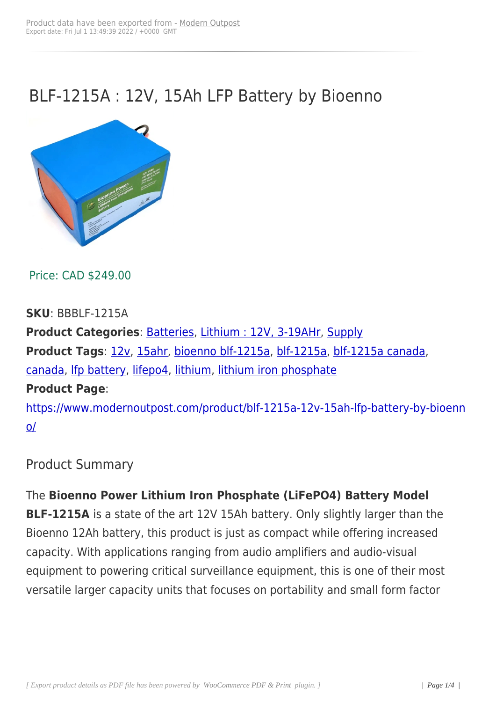## BLF-1215A : 12V, 15Ah LFP Battery by Bioenno



Price: CAD \$249.00

**SKU**: BBBLF-1215A

**Product Categories**: Batteries, Lithium : 12V, 3-19AHr, Supply **Product Tags**: 12v, 15ahr, bioenno blf-1215a, blf-1215a, blf-1215a canada, canada, Ifp battery, lif[epo4, lithi](https://www.modernoutpost.com/product-category/solar-equipment-store-canada/battery-packs/)[um, lithium iron phospha](https://www.modernoutpost.com/product-category/solar-equipment-store-canada/battery-packs/small-12v-lithium-batteries-3ahr-to-19ahr/)[te](https://www.modernoutpost.com/product-category/solar-equipment-store-canada/) **Product Page**: [https://](https://www.modernoutpost.com/product-tag/canada/)[www.moder](https://www.modernoutpost.com/product-tag/lfp-battery/)[noutpos](https://www.modernoutpost.com/product-tag/lifepo4/)t[.com/pr](https://www.modernoutpost.com/product-tag/lithium/)[oduct/blf-1215a-12v-15](https://www.modernoutpost.com/product-tag/lithium-iron-phosphate/)ah-lfp-battery-by-bioenn

o/

[Pr](https://www.modernoutpost.com/product/blf-1215a-12v-15ah-lfp-battery-by-bioenno/)oduct Summary

The **Bioenno Power Lithium Iron Phosphate (LiFePO4) Battery Model BLF-1215A** is a state of the art 12V 15Ah battery. Only slightly larger than the Bioenno 12Ah battery, this product is just as compact while offering increased capacity. With applications ranging from audio amplifiers and audio-visual equipment to powering critical surveillance equipment, this is one of their most versatile larger capacity units that focuses on portability and small form factor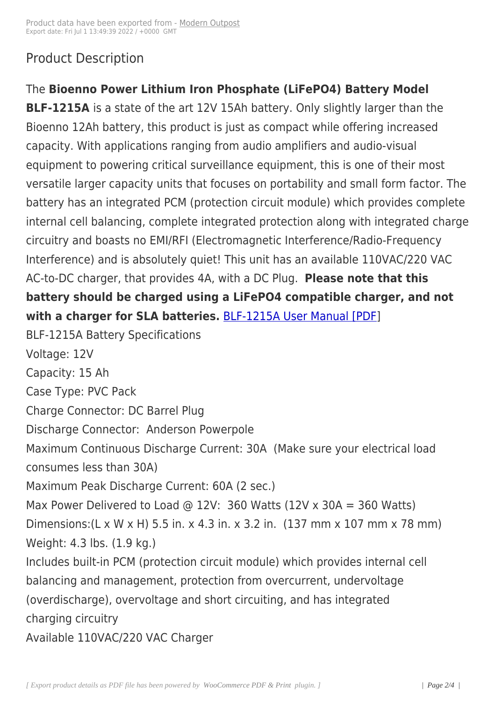## Product Description

The **Bioenno Power Lithium Iron Phosphate (LiFePO4) Battery Model**

**BLF-1215A** is a state of the art 12V 15Ah battery. Only slightly larger than the Bioenno 12Ah battery, this product is just as compact while offering increased capacity. With applications ranging from audio amplifiers and audio-visual equipment to powering critical surveillance equipment, this is one of their most versatile larger capacity units that focuses on portability and small form factor. The battery has an integrated PCM (protection circuit module) which provides complete internal cell balancing, complete integrated protection along with integrated charge circuitry and boasts no EMI/RFI (Electromagnetic Interference/Radio-Frequency Interference) and is absolutely quiet! This unit has an available 110VAC/220 VAC AC-to-DC charger, that provides 4A, with a DC Plug. **Please note that this battery should be charged using a LiFePO4 compatible charger, and not with a charger for SLA batteries.** BLF-1215A User Manual [PDF]

BLF-1215A Battery Specifications

Voltage: 12V

Capacity: 15 Ah

Case Type: PVC Pack

Charge Connector: DC Barrel Plug

Discharge Connector: Anderson Powerpole

Maximum Continuous Discharge Current: 30A (Make sure your electrical load consumes less than 30A)

Maximum Peak Discharge Current: 60A (2 sec.)

Max Power Delivered to Load @ 12V: 360 Watts  $(12V \times 30A = 360$  Watts) Dimensions:(L x W x H) 5.5 in. x 4.3 in. x 3.2 in. (137 mm x 107 mm x 78 mm) Weight: 4.3 lbs. (1.9 kg.)

Includes built-in PCM (protection circuit module) which provides internal cell balancing and management, protection from overcurrent, undervoltage (overdischarge), overvoltage and short circuiting, and has integrated charging circuitry

Available 110VAC/220 VAC Charger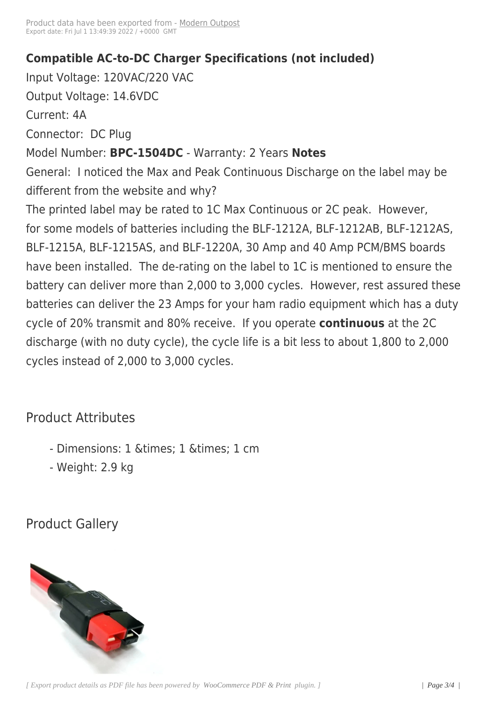## **Compatible AC-to-DC Cha[rger Specif](https://www.modernoutpost.com/?post_type=product&p=16459)ications (not included)**

Input Voltage: 120VAC/220 VAC Output Voltage: 14.6VDC Current: 4A Connector: DC Plug Model Number: **BPC-1504DC** - Warranty: 2 Years **Notes** General: I noticed the Max and Peak Continuous Discharge on the label may be different from the website and why? The printed label may be rated to 1C Max Continuous or 2C peak. However, for some models of batteries including the BLF-1212A, BLF-1212AB, BLF-1212AS, BLF-1215A, BLF-1215AS, and BLF-1220A, 30 Amp and 40 Amp PCM/BMS boards have been installed. The de-rating on the label to 1C is mentioned to ensure the battery can deliver more than 2,000 to 3,000 cycles. However, rest assured these batteries can deliver the 23 Amps for your ham radio equipment which has a duty cycle of 20% transmit and 80% receive. If you operate **continuous** at the 2C discharge (with no duty cycle), the cycle life is a bit less to about 1,800 to 2,000 cycles instead of 2,000 to 3,000 cycles.

## Product Attributes

- Dimensions: 1 & times: 1 & times: 1 cm
- Weight: 2.9 kg

Product Gallery